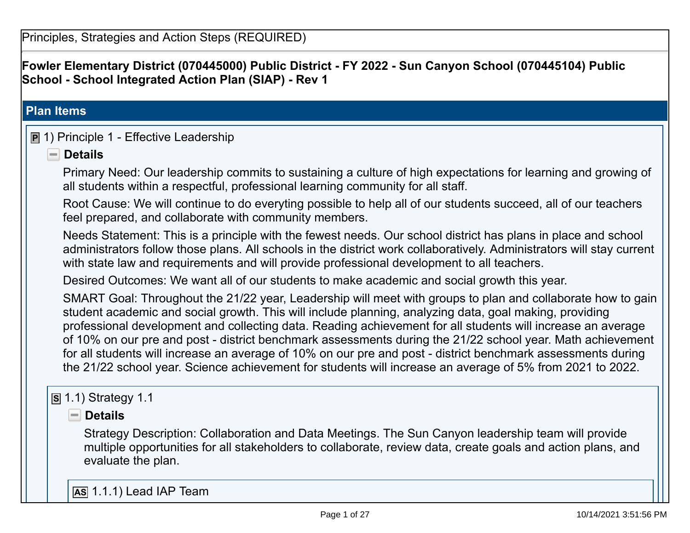**Fowler Elementary District (070445000) Public District - FY 2022 - Sun Canyon School (070445104) Public School - School Integrated Action Plan (SIAP) - Rev 1** 

### **Plan Items**

# **P** 1) Principle 1 - Effective Leadership

# **Details**

Primary Need: Our leadership commits to sustaining a culture of high expectations for learning and growing of all students within a respectful, professional learning community for all staff.

Root Cause: We will continue to do everyting possible to help all of our students succeed, all of our teachers feel prepared, and collaborate with community members.

Needs Statement: This is a principle with the fewest needs. Our school district has plans in place and school administrators follow those plans. All schools in the district work collaboratively. Administrators will stay current with state law and requirements and will provide professional development to all teachers.

Desired Outcomes: We want all of our students to make academic and social growth this year.

SMART Goal: Throughout the 21/22 year, Leadership will meet with groups to plan and collaborate how to gain student academic and social growth. This will include planning, analyzing data, goal making, providing professional development and collecting data. Reading achievement for all students will increase an average of 10% on our pre and post - district benchmark assessments during the 21/22 school year. Math achievement for all students will increase an average of 10% on our pre and post - district benchmark assessments during the 21/22 school year. Science achievement for students will increase an average of 5% from 2021 to 2022.

### **S** 1.1) Strategy 1.1

 **Details** 

Strategy Description: Collaboration and Data Meetings. The Sun Canyon leadership team will provide multiple opportunities for all stakeholders to collaborate, review data, create goals and action plans, and evaluate the plan.

**AS** 1.1.1) Lead IAP Team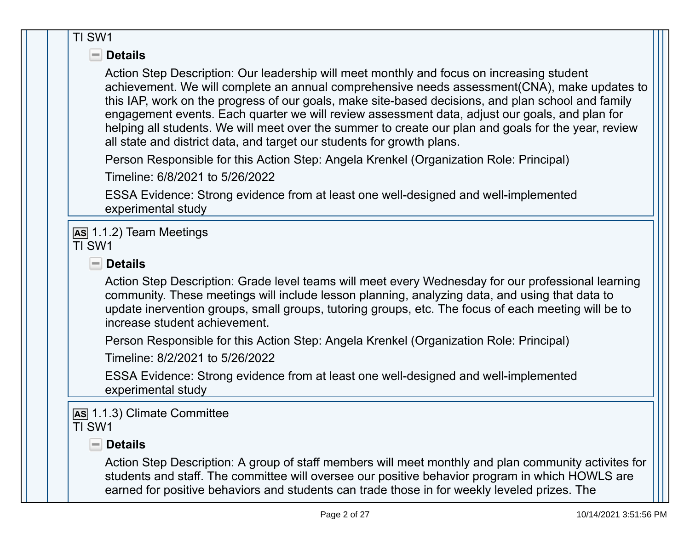| TI SW1                                                                                                                                                                                                                                                                                                                                                                                                                                                                                                                                                                               |  |
|--------------------------------------------------------------------------------------------------------------------------------------------------------------------------------------------------------------------------------------------------------------------------------------------------------------------------------------------------------------------------------------------------------------------------------------------------------------------------------------------------------------------------------------------------------------------------------------|--|
| $\blacksquare$ Details                                                                                                                                                                                                                                                                                                                                                                                                                                                                                                                                                               |  |
| Action Step Description: Our leadership will meet monthly and focus on increasing student<br>achievement. We will complete an annual comprehensive needs assessment (CNA), make updates to<br>this IAP, work on the progress of our goals, make site-based decisions, and plan school and family<br>engagement events. Each quarter we will review assessment data, adjust our goals, and plan for<br>helping all students. We will meet over the summer to create our plan and goals for the year, review<br>all state and district data, and target our students for growth plans. |  |
| Person Responsible for this Action Step: Angela Krenkel (Organization Role: Principal)                                                                                                                                                                                                                                                                                                                                                                                                                                                                                               |  |
| Timeline: 6/8/2021 to 5/26/2022                                                                                                                                                                                                                                                                                                                                                                                                                                                                                                                                                      |  |
| ESSA Evidence: Strong evidence from at least one well-designed and well-implemented<br>experimental study                                                                                                                                                                                                                                                                                                                                                                                                                                                                            |  |
| As 1.1.2) Team Meetings<br>TI SW1                                                                                                                                                                                                                                                                                                                                                                                                                                                                                                                                                    |  |
| $\blacksquare$ Details                                                                                                                                                                                                                                                                                                                                                                                                                                                                                                                                                               |  |
| Action Step Description: Grade level teams will meet every Wednesday for our professional learning<br>community. These meetings will include lesson planning, analyzing data, and using that data to<br>update inervention groups, small groups, tutoring groups, etc. The focus of each meeting will be to<br>increase student achievement.                                                                                                                                                                                                                                         |  |
| Person Responsible for this Action Step: Angela Krenkel (Organization Role: Principal)<br>Timeline: 8/2/2021 to 5/26/2022                                                                                                                                                                                                                                                                                                                                                                                                                                                            |  |
| ESSA Evidence: Strong evidence from at least one well-designed and well-implemented<br>experimental study                                                                                                                                                                                                                                                                                                                                                                                                                                                                            |  |
| AS 1.1.3) Climate Committee<br>TI SW1                                                                                                                                                                                                                                                                                                                                                                                                                                                                                                                                                |  |
| $\blacksquare$ Details                                                                                                                                                                                                                                                                                                                                                                                                                                                                                                                                                               |  |
| Action Step Description: A group of staff members will meet monthly and plan community activites for<br>students and staff. The committee will oversee our positive behavior program in which HOWLS are<br>earned for positive behaviors and students can trade those in for weekly leveled prizes. The                                                                                                                                                                                                                                                                              |  |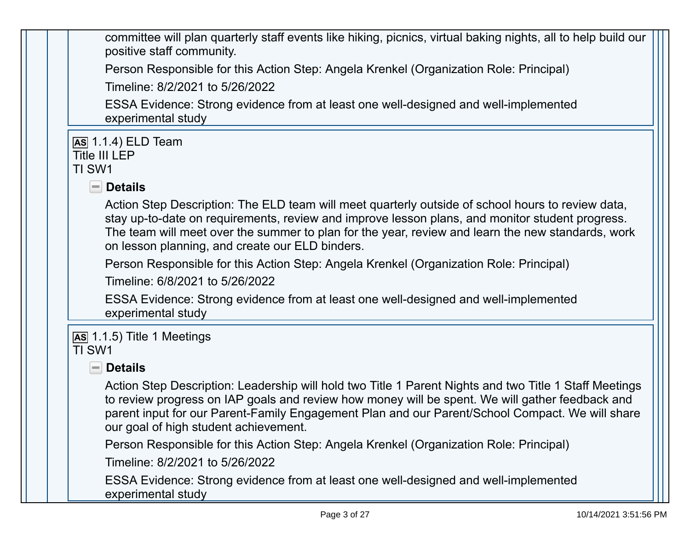committee will plan quarterly staff events like hiking, picnics, virtual baking nights, all to help build our positive staff community.

Person Responsible for this Action Step: Angela Krenkel (Organization Role: Principal)

Timeline: 8/2/2021 to 5/26/2022

ESSA Evidence: Strong evidence from at least one well-designed and well-implemented experimental study

**AS** 1.1.4) ELD Team Title III LEP

### TI SW1

 **Details** 

Action Step Description: The ELD team will meet quarterly outside of school hours to review data, stay up-to-date on requirements, review and improve lesson plans, and monitor student progress. The team will meet over the summer to plan for the year, review and learn the new standards, work on lesson planning, and create our ELD binders.

Person Responsible for this Action Step: Angela Krenkel (Organization Role: Principal)

Timeline: 6/8/2021 to 5/26/2022

ESSA Evidence: Strong evidence from at least one well-designed and well-implemented experimental study

#### **AS** 1.1.5) Title 1 Meetings TI SW1

 **Details** 

Action Step Description: Leadership will hold two Title 1 Parent Nights and two Title 1 Staff Meetings to review progress on IAP goals and review how money will be spent. We will gather feedback and parent input for our Parent-Family Engagement Plan and our Parent/School Compact. We will share our goal of high student achievement.

Person Responsible for this Action Step: Angela Krenkel (Organization Role: Principal)

Timeline: 8/2/2021 to 5/26/2022

ESSA Evidence: Strong evidence from at least one well-designed and well-implemented experimental study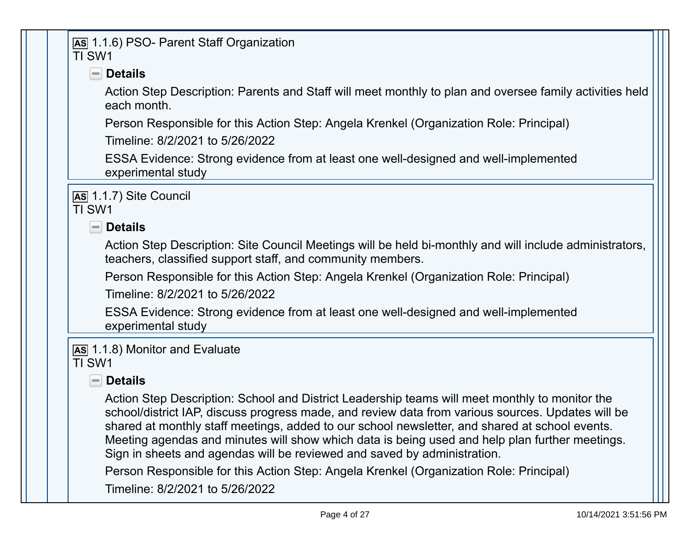### **AS** 1.1.6) PSO- Parent Staff Organization TI SW1

# **Details**

Action Step Description: Parents and Staff will meet monthly to plan and oversee family activities held each month.

Person Responsible for this Action Step: Angela Krenkel (Organization Role: Principal)

Timeline: 8/2/2021 to 5/26/2022

ESSA Evidence: Strong evidence from at least one well-designed and well-implemented experimental study

**AS** 1.1.7) Site Council TI SW1

 **Details** 

Action Step Description: Site Council Meetings will be held bi-monthly and will include administrators, teachers, classified support staff, and community members.

Person Responsible for this Action Step: Angela Krenkel (Organization Role: Principal)

Timeline: 8/2/2021 to 5/26/2022

ESSA Evidence: Strong evidence from at least one well-designed and well-implemented experimental study

**AS** 1.1.8) Monitor and Evaluate TI SW1

# **Details**

Action Step Description: School and District Leadership teams will meet monthly to monitor the school/district IAP, discuss progress made, and review data from various sources. Updates will be shared at monthly staff meetings, added to our school newsletter, and shared at school events. Meeting agendas and minutes will show which data is being used and help plan further meetings. Sign in sheets and agendas will be reviewed and saved by administration.

Person Responsible for this Action Step: Angela Krenkel (Organization Role: Principal)

Timeline: 8/2/2021 to 5/26/2022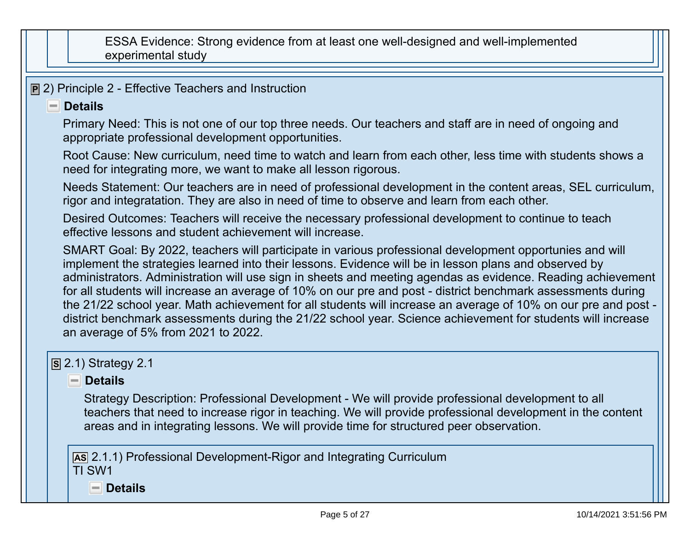ESSA Evidence: Strong evidence from at least one well-designed and well-implemented experimental study

**P** 2) Principle 2 - Effective Teachers and Instruction

#### **Details**

Primary Need: This is not one of our top three needs. Our teachers and staff are in need of ongoing and appropriate professional development opportunities.

Root Cause: New curriculum, need time to watch and learn from each other, less time with students shows a need for integrating more, we want to make all lesson rigorous.

Needs Statement: Our teachers are in need of professional development in the content areas, SEL curriculum, rigor and integratation. They are also in need of time to observe and learn from each other.

Desired Outcomes: Teachers will receive the necessary professional development to continue to teach effective lessons and student achievement will increase.

SMART Goal: By 2022, teachers will participate in various professional development opportunies and will implement the strategies learned into their lessons. Evidence will be in lesson plans and observed by administrators. Administration will use sign in sheets and meeting agendas as evidence. Reading achievement for all students will increase an average of 10% on our pre and post - district benchmark assessments during the 21/22 school year. Math achievement for all students will increase an average of 10% on our pre and post district benchmark assessments during the 21/22 school year. Science achievement for students will increase an average of 5% from 2021 to 2022.

# **S** 2.1) Strategy 2.1

# **Details**

Strategy Description: Professional Development - We will provide professional development to all teachers that need to increase rigor in teaching. We will provide professional development in the content areas and in integrating lessons. We will provide time for structured peer observation.

**AS** 2.1.1) Professional Development-Rigor and Integrating Curriculum TI SW1

 **Details**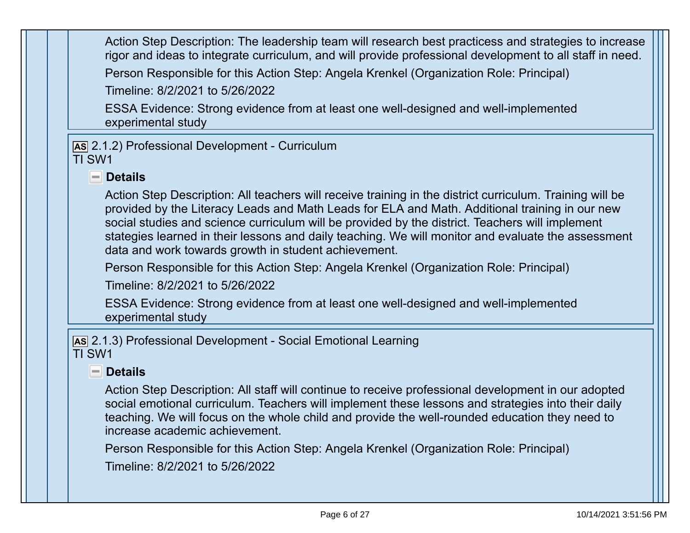Action Step Description: The leadership team will research best practicess and strategies to increase rigor and ideas to integrate curriculum, and will provide professional development to all staff in need. Person Responsible for this Action Step: Angela Krenkel (Organization Role: Principal) Timeline: 8/2/2021 to 5/26/2022 ESSA Evidence: Strong evidence from at least one well-designed and well-implemented experimental study **AS** 2.1.2) Professional Development - Curriculum TI SW1  **Details** Action Step Description: All teachers will receive training in the district curriculum. Training will be provided by the Literacy Leads and Math Leads for ELA and Math. Additional training in our new social studies and science curriculum will be provided by the district. Teachers will implement stategies learned in their lessons and daily teaching. We will monitor and evaluate the assessment data and work towards growth in student achievement. Person Responsible for this Action Step: Angela Krenkel (Organization Role: Principal) Timeline: 8/2/2021 to 5/26/2022 ESSA Evidence: Strong evidence from at least one well-designed and well-implemented experimental study **AS** 2.1.3) Professional Development - Social Emotional Learning TI SW1 **Details** Action Step Description: All staff will continue to receive professional development in our adopted

 social emotional curriculum. Teachers will implement these lessons and strategies into their daily teaching. We will focus on the whole child and provide the well-rounded education they need to increase academic achievement.

Person Responsible for this Action Step: Angela Krenkel (Organization Role: Principal)

Timeline: 8/2/2021 to 5/26/2022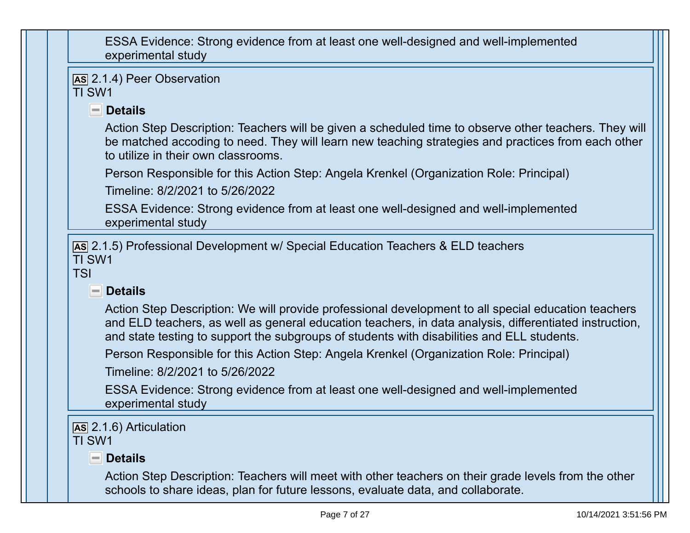ESSA Evidence: Strong evidence from at least one well-designed and well-implemented experimental study

**AS** 2.1.4) Peer Observation TI SW1

 **Details** 

Action Step Description: Teachers will be given a scheduled time to observe other teachers. They will be matched accoding to need. They will learn new teaching strategies and practices from each other to utilize in their own classrooms.

Person Responsible for this Action Step: Angela Krenkel (Organization Role: Principal)

Timeline: 8/2/2021 to 5/26/2022

ESSA Evidence: Strong evidence from at least one well-designed and well-implemented experimental study

**AS** 2.1.5) Professional Development w/ Special Education Teachers & ELD teachers TI SW1

TSI

# $\blacksquare$  Details

Action Step Description: We will provide professional development to all special education teachers and ELD teachers, as well as general education teachers, in data analysis, differentiated instruction, and state testing to support the subgroups of students with disabilities and ELL students.

Person Responsible for this Action Step: Angela Krenkel (Organization Role: Principal)

Timeline: 8/2/2021 to 5/26/2022

ESSA Evidence: Strong evidence from at least one well-designed and well-implemented experimental study

**AS** 2.1.6) Articulation

TI SW1

 **Details** 

Action Step Description: Teachers will meet with other teachers on their grade levels from the other schools to share ideas, plan for future lessons, evaluate data, and collaborate.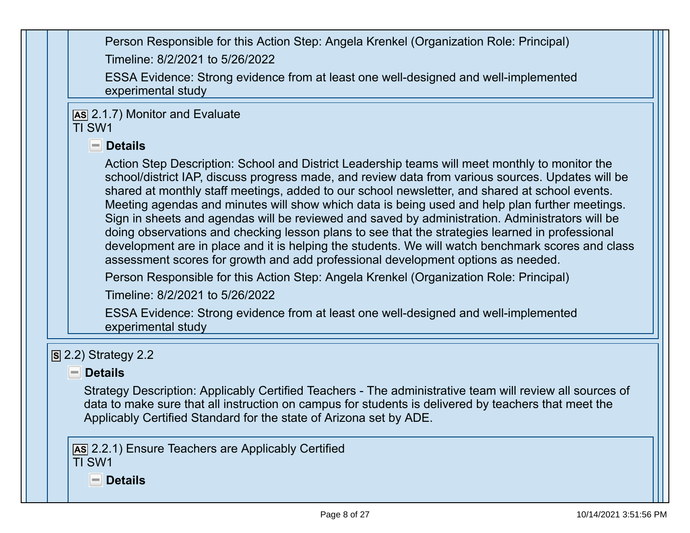Person Responsible for this Action Step: Angela Krenkel (Organization Role: Principal) Timeline: 8/2/2021 to 5/26/2022 ESSA Evidence: Strong evidence from at least one well-designed and well-implemented experimental study **AS** 2.1.7) Monitor and Evaluate TI SW1  **Details** Action Step Description: School and District Leadership teams will meet monthly to monitor the school/district IAP, discuss progress made, and review data from various sources. Updates will be shared at monthly staff meetings, added to our school newsletter, and shared at school events. Meeting agendas and minutes will show which data is being used and help plan further meetings. Sign in sheets and agendas will be reviewed and saved by administration. Administrators will be doing observations and checking lesson plans to see that the strategies learned in professional development are in place and it is helping the students. We will watch benchmark scores and class assessment scores for growth and add professional development options as needed. Person Responsible for this Action Step: Angela Krenkel (Organization Role: Principal) Timeline: 8/2/2021 to 5/26/2022 ESSA Evidence: Strong evidence from at least one well-designed and well-implemented experimental study **S** 2.2) Strategy 2.2 **Details** Strategy Description: Applicably Certified Teachers - The administrative team will review all sources of data to make sure that all instruction on campus for students is delivered by teachers that meet the Applicably Certified Standard for the state of Arizona set by ADE. **AS** 2.2.1) Ensure Teachers are Applicably Certified TI SW1 **Details**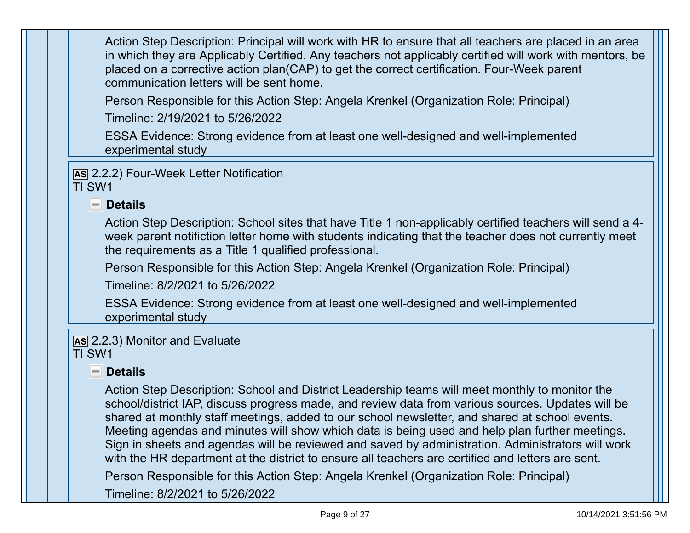Action Step Description: Principal will work with HR to ensure that all teachers are placed in an area in which they are Applicably Certified. Any teachers not applicably certified will work with mentors, be placed on a corrective action plan(CAP) to get the correct certification. Four-Week parent communication letters will be sent home.

Person Responsible for this Action Step: Angela Krenkel (Organization Role: Principal)

Timeline: 2/19/2021 to 5/26/2022

ESSA Evidence: Strong evidence from at least one well-designed and well-implemented experimental study

**AS** 2.2.2) Four-Week Letter Notification

TI SW1

### **Details**

Action Step Description: School sites that have Title 1 non-applicably certified teachers will send a 4week parent notifiction letter home with students indicating that the teacher does not currently meet the requirements as a Title 1 qualified professional.

Person Responsible for this Action Step: Angela Krenkel (Organization Role: Principal)

Timeline: 8/2/2021 to 5/26/2022

ESSA Evidence: Strong evidence from at least one well-designed and well-implemented experimental study

#### **AS** 2.2.3) Monitor and Evaluate TI SW1

# **Details**

Action Step Description: School and District Leadership teams will meet monthly to monitor the school/district IAP, discuss progress made, and review data from various sources. Updates will be shared at monthly staff meetings, added to our school newsletter, and shared at school events. Meeting agendas and minutes will show which data is being used and help plan further meetings. Sign in sheets and agendas will be reviewed and saved by administration. Administrators will work with the HR department at the district to ensure all teachers are certified and letters are sent.

Person Responsible for this Action Step: Angela Krenkel (Organization Role: Principal)

Timeline: 8/2/2021 to 5/26/2022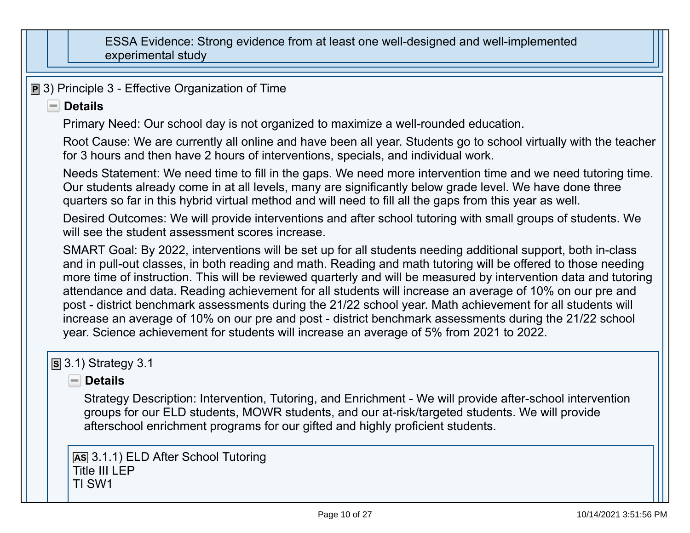ESSA Evidence: Strong evidence from at least one well-designed and well-implemented experimental study

**P** 3) Principle 3 - Effective Organization of Time

#### **Details**

Primary Need: Our school day is not organized to maximize a well-rounded education.

Root Cause: We are currently all online and have been all year. Students go to school virtually with the teacher for 3 hours and then have 2 hours of interventions, specials, and individual work.

Needs Statement: We need time to fill in the gaps. We need more intervention time and we need tutoring time. Our students already come in at all levels, many are significantly below grade level. We have done three quarters so far in this hybrid virtual method and will need to fill all the gaps from this year as well.

Desired Outcomes: We will provide interventions and after school tutoring with small groups of students. We will see the student assessment scores increase.

SMART Goal: By 2022, interventions will be set up for all students needing additional support, both in-class and in pull-out classes, in both reading and math. Reading and math tutoring will be offered to those needing more time of instruction. This will be reviewed quarterly and will be measured by intervention data and tutoring attendance and data. Reading achievement for all students will increase an average of 10% on our pre and post - district benchmark assessments during the 21/22 school year. Math achievement for all students will increase an average of 10% on our pre and post - district benchmark assessments during the 21/22 school year. Science achievement for students will increase an average of 5% from 2021 to 2022.

# **S** 3.1) Strategy 3.1

# **Details**

Strategy Description: Intervention, Tutoring, and Enrichment - We will provide after-school intervention groups for our ELD students, MOWR students, and our at-risk/targeted students. We will provide afterschool enrichment programs for our gifted and highly proficient students.

**AS** 3.1.1) ELD After School Tutoring Title III I FP TI SW1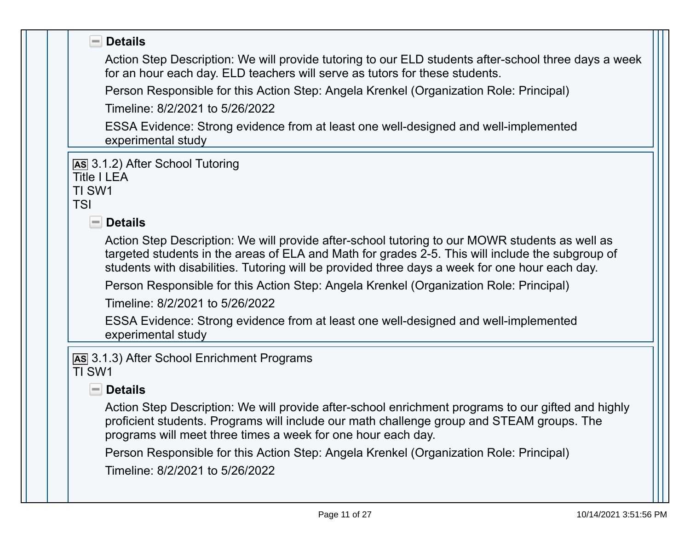| $\blacksquare$ Details                                                                                                                                                                                                                                                                               |
|------------------------------------------------------------------------------------------------------------------------------------------------------------------------------------------------------------------------------------------------------------------------------------------------------|
| Action Step Description: We will provide tutoring to our ELD students after-school three days a week<br>for an hour each day. ELD teachers will serve as tutors for these students.                                                                                                                  |
| Person Responsible for this Action Step: Angela Krenkel (Organization Role: Principal)                                                                                                                                                                                                               |
| Timeline: 8/2/2021 to 5/26/2022                                                                                                                                                                                                                                                                      |
| ESSA Evidence: Strong evidence from at least one well-designed and well-implemented<br>experimental study                                                                                                                                                                                            |
| AS 3.1.2) After School Tutoring<br><b>Title I LEA</b><br>TI SW1<br><b>TSI</b>                                                                                                                                                                                                                        |
| $\Box$ Details                                                                                                                                                                                                                                                                                       |
| Action Step Description: We will provide after-school tutoring to our MOWR students as well as<br>targeted students in the areas of ELA and Math for grades 2-5. This will include the subgroup of<br>students with disabilities. Tutoring will be provided three days a week for one hour each day. |
| Person Responsible for this Action Step: Angela Krenkel (Organization Role: Principal)                                                                                                                                                                                                               |
| Timeline: 8/2/2021 to 5/26/2022                                                                                                                                                                                                                                                                      |
| ESSA Evidence: Strong evidence from at least one well-designed and well-implemented<br>experimental study                                                                                                                                                                                            |
| AS 3.1.3) After School Enrichment Programs<br>TI SW1                                                                                                                                                                                                                                                 |
| $\blacksquare$ Details                                                                                                                                                                                                                                                                               |
| Action Step Description: We will provide after-school enrichment programs to our gifted and highly<br>proficient students. Programs will include our math challenge group and STEAM groups. The<br>programs will meet three times a week for one hour each day.                                      |
| Person Responsible for this Action Step: Angela Krenkel (Organization Role: Principal)                                                                                                                                                                                                               |
| Timeline: 8/2/2021 to 5/26/2022                                                                                                                                                                                                                                                                      |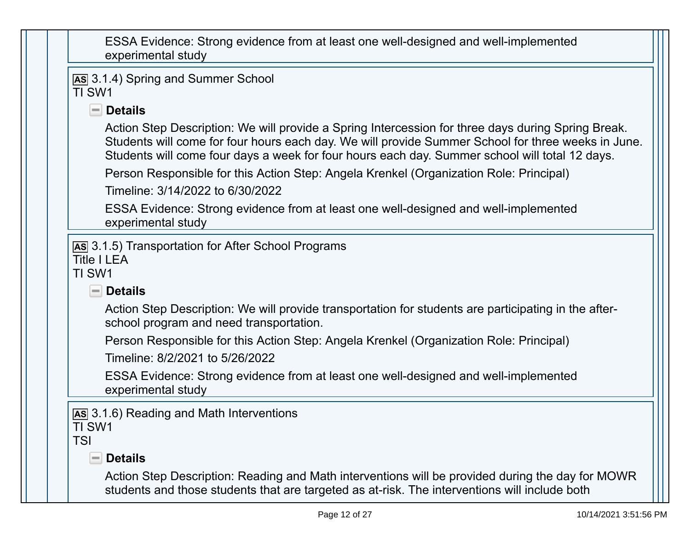| ESSA Evidence: Strong evidence from at least one well-designed and well-implemented |  |
|-------------------------------------------------------------------------------------|--|
| experimental study                                                                  |  |

```
AS 3.1.4) Spring and Summer School TI SW1
```
# **Details**

Action Step Description: We will provide a Spring Intercession for three days during Spring Break. Students will come for four hours each day. We will provide Summer School for three weeks in June. Students will come four days a week for four hours each day. Summer school will total 12 days.

Person Responsible for this Action Step: Angela Krenkel (Organization Role: Principal)

Timeline: 3/14/2022 to 6/30/2022

ESSA Evidence: Strong evidence from at least one well-designed and well-implemented experimental study

```
AS 3.1.5) Transportation for After School Programs
```
Title I I FA

TI SW1

```
Details
```
Action Step Description: We will provide transportation for students are participating in the afterschool program and need transportation.

Person Responsible for this Action Step: Angela Krenkel (Organization Role: Principal)

Timeline: 8/2/2021 to 5/26/2022

ESSA Evidence: Strong evidence from at least one well-designed and well-implemented experimental study

**AS** 3.1.6) Reading and Math Interventions TI SW1

TSI

# **Details**

Action Step Description: Reading and Math interventions will be provided during the day for MOWR students and those students that are targeted as at-risk. The interventions will include both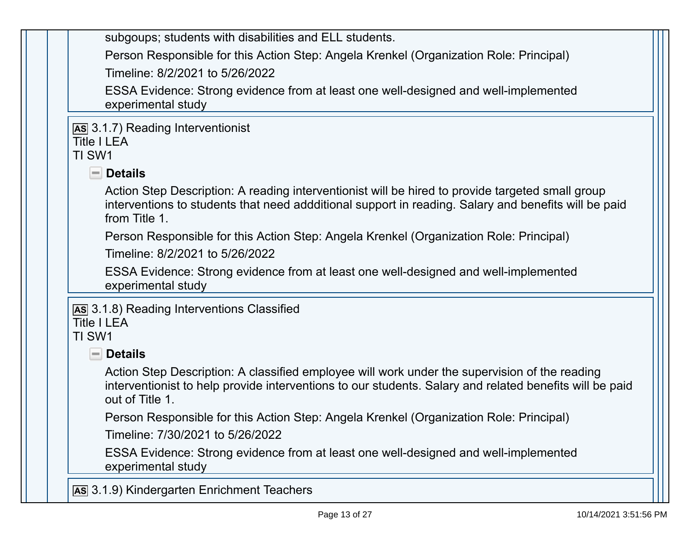| subgoups; students with disabilities and ELL students.                                                                                                                                                                      |
|-----------------------------------------------------------------------------------------------------------------------------------------------------------------------------------------------------------------------------|
| Person Responsible for this Action Step: Angela Krenkel (Organization Role: Principal)                                                                                                                                      |
| Timeline: 8/2/2021 to 5/26/2022                                                                                                                                                                                             |
| ESSA Evidence: Strong evidence from at least one well-designed and well-implemented<br>experimental study                                                                                                                   |
| As 3.1.7) Reading Interventionist<br><b>Title I LEA</b><br>TI SW1                                                                                                                                                           |
| $\blacksquare$ Details                                                                                                                                                                                                      |
| Action Step Description: A reading interventionist will be hired to provide targeted small group<br>interventions to students that need addditional support in reading. Salary and benefits will be paid<br>from Title 1.   |
| Person Responsible for this Action Step: Angela Krenkel (Organization Role: Principal)                                                                                                                                      |
| Timeline: 8/2/2021 to 5/26/2022                                                                                                                                                                                             |
| ESSA Evidence: Strong evidence from at least one well-designed and well-implemented<br>experimental study                                                                                                                   |
| As 3.1.8) Reading Interventions Classified<br><b>Title I LEA</b><br>TI SW1                                                                                                                                                  |
| <b>Details</b><br>$-$                                                                                                                                                                                                       |
| Action Step Description: A classified employee will work under the supervision of the reading<br>interventionist to help provide interventions to our students. Salary and related benefits will be paid<br>out of Title 1. |
| Person Responsible for this Action Step: Angela Krenkel (Organization Role: Principal)                                                                                                                                      |
| Timeline: 7/30/2021 to 5/26/2022                                                                                                                                                                                            |
| ESSA Evidence: Strong evidence from at least one well-designed and well-implemented<br>experimental study                                                                                                                   |
| As 3.1.9) Kindergarten Enrichment Teachers                                                                                                                                                                                  |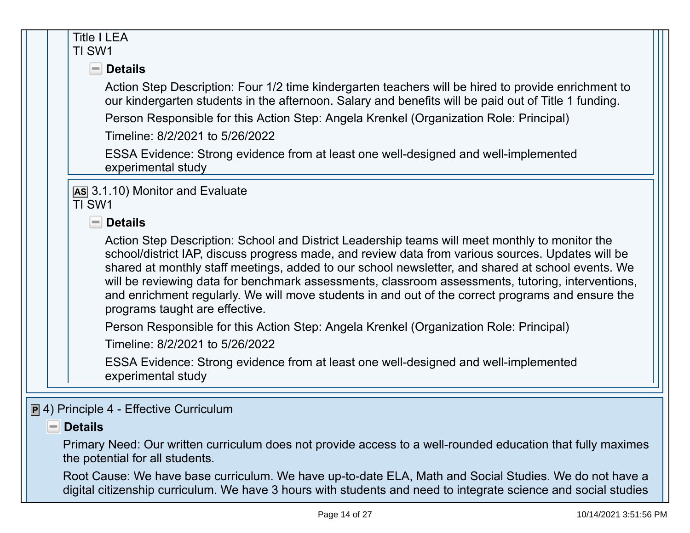| <b>Title I LEA</b><br>TI SW1                                                                                                                                                                                                                                                                                                                                                                                                                                                                                                                         |
|------------------------------------------------------------------------------------------------------------------------------------------------------------------------------------------------------------------------------------------------------------------------------------------------------------------------------------------------------------------------------------------------------------------------------------------------------------------------------------------------------------------------------------------------------|
| $\blacksquare$ Details                                                                                                                                                                                                                                                                                                                                                                                                                                                                                                                               |
| Action Step Description: Four 1/2 time kindergarten teachers will be hired to provide enrichment to<br>our kindergarten students in the afternoon. Salary and benefits will be paid out of Title 1 funding.                                                                                                                                                                                                                                                                                                                                          |
| Person Responsible for this Action Step: Angela Krenkel (Organization Role: Principal)                                                                                                                                                                                                                                                                                                                                                                                                                                                               |
| Timeline: 8/2/2021 to 5/26/2022                                                                                                                                                                                                                                                                                                                                                                                                                                                                                                                      |
| ESSA Evidence: Strong evidence from at least one well-designed and well-implemented<br>experimental study                                                                                                                                                                                                                                                                                                                                                                                                                                            |
| AS 3.1.10) Monitor and Evaluate<br>TI SW1                                                                                                                                                                                                                                                                                                                                                                                                                                                                                                            |
| $\blacksquare$ Details                                                                                                                                                                                                                                                                                                                                                                                                                                                                                                                               |
| Action Step Description: School and District Leadership teams will meet monthly to monitor the<br>school/district IAP, discuss progress made, and review data from various sources. Updates will be<br>shared at monthly staff meetings, added to our school newsletter, and shared at school events. We<br>will be reviewing data for benchmark assessments, classroom assessments, tutoring, interventions,<br>and enrichment regularly. We will move students in and out of the correct programs and ensure the<br>programs taught are effective. |
| Person Responsible for this Action Step: Angela Krenkel (Organization Role: Principal)                                                                                                                                                                                                                                                                                                                                                                                                                                                               |
| Timeline: 8/2/2021 to 5/26/2022                                                                                                                                                                                                                                                                                                                                                                                                                                                                                                                      |
| ESSA Evidence: Strong evidence from at least one well-designed and well-implemented<br>experimental study                                                                                                                                                                                                                                                                                                                                                                                                                                            |
|                                                                                                                                                                                                                                                                                                                                                                                                                                                                                                                                                      |
| <b>P</b> 4) Principle 4 - Effective Curriculum                                                                                                                                                                                                                                                                                                                                                                                                                                                                                                       |
| <b>Details</b><br>$=$                                                                                                                                                                                                                                                                                                                                                                                                                                                                                                                                |
| Primary Need: Our written curriculum does not provide access to a well-rounded education that fully maximes<br>the potential for all students.                                                                                                                                                                                                                                                                                                                                                                                                       |

Root Cause: We have base curriculum. We have up-to-date ELA, Math and Social Studies. We do not have a digital citizenship curriculum. We have 3 hours with students and need to integrate science and social studies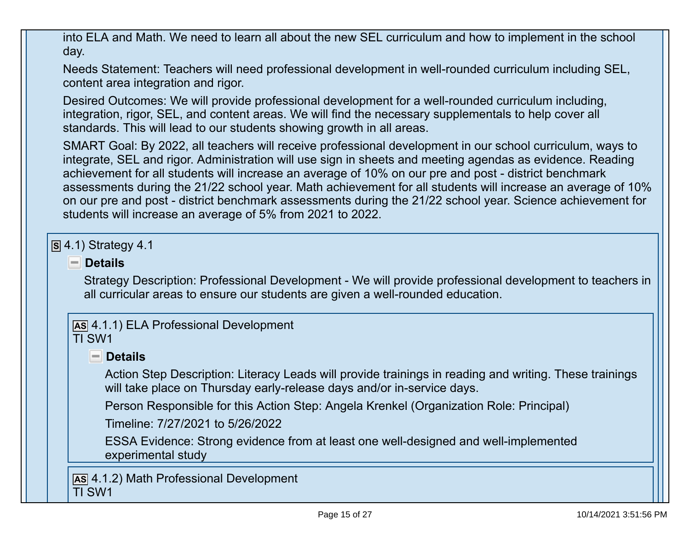into ELA and Math. We need to learn all about the new SEL curriculum and how to implement in the school day.

Needs Statement: Teachers will need professional development in well-rounded curriculum including SEL, content area integration and rigor.

Desired Outcomes: We will provide professional development for a well-rounded curriculum including, integration, rigor, SEL, and content areas. We will find the necessary supplementals to help cover all standards. This will lead to our students showing growth in all areas.

SMART Goal: By 2022, all teachers will receive professional development in our school curriculum, ways to integrate, SEL and rigor. Administration will use sign in sheets and meeting agendas as evidence. Reading achievement for all students will increase an average of 10% on our pre and post - district benchmark assessments during the 21/22 school year. Math achievement for all students will increase an average of 10% on our pre and post - district benchmark assessments during the 21/22 school year. Science achievement for students will increase an average of 5% from 2021 to 2022.

```
S 4.1) Strategy 4.1
```
#### **Details**

Strategy Description: Professional Development - We will provide professional development to teachers in all curricular areas to ensure our students are given a well-rounded education.

**AS** 4.1.1) ELA Professional Development TI SW1

### **Details**

Action Step Description: Literacy Leads will provide trainings in reading and writing. These trainings will take place on Thursday early-release days and/or in-service days.

Person Responsible for this Action Step: Angela Krenkel (Organization Role: Principal)

Timeline: 7/27/2021 to 5/26/2022

ESSA Evidence: Strong evidence from at least one well-designed and well-implemented experimental study

**AS** 4.1.2) Math Professional Development TI SW1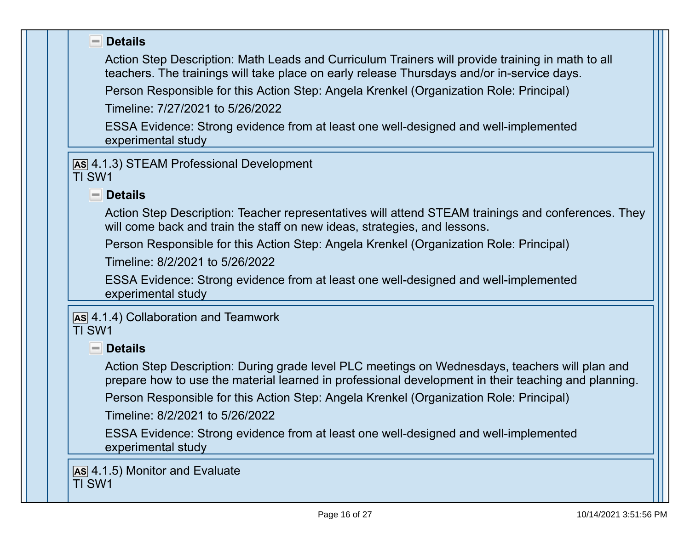| <b>Details</b><br>$\equiv$                                                                                                                                                                            |
|-------------------------------------------------------------------------------------------------------------------------------------------------------------------------------------------------------|
| Action Step Description: Math Leads and Curriculum Trainers will provide training in math to all                                                                                                      |
| teachers. The trainings will take place on early release Thursdays and/or in-service days.                                                                                                            |
| Person Responsible for this Action Step: Angela Krenkel (Organization Role: Principal)                                                                                                                |
| Timeline: 7/27/2021 to 5/26/2022                                                                                                                                                                      |
| ESSA Evidence: Strong evidence from at least one well-designed and well-implemented<br>experimental study                                                                                             |
| AS 4.1.3) STEAM Professional Development<br>TI SW1                                                                                                                                                    |
| $\blacksquare$ Details                                                                                                                                                                                |
| Action Step Description: Teacher representatives will attend STEAM trainings and conferences. They<br>will come back and train the staff on new ideas, strategies, and lessons.                       |
| Person Responsible for this Action Step: Angela Krenkel (Organization Role: Principal)                                                                                                                |
| Timeline: 8/2/2021 to 5/26/2022                                                                                                                                                                       |
| ESSA Evidence: Strong evidence from at least one well-designed and well-implemented<br>experimental study                                                                                             |
| As 4.1.4) Collaboration and Teamwork<br>TI SW1                                                                                                                                                        |
| $\blacksquare$ Details                                                                                                                                                                                |
| Action Step Description: During grade level PLC meetings on Wednesdays, teachers will plan and<br>prepare how to use the material learned in professional development in their teaching and planning. |
| Person Responsible for this Action Step: Angela Krenkel (Organization Role: Principal)                                                                                                                |
| Timeline: 8/2/2021 to 5/26/2022                                                                                                                                                                       |
| ESSA Evidence: Strong evidence from at least one well-designed and well-implemented<br>experimental study                                                                                             |
| AS 4.1.5) Monitor and Evaluate<br><b>TI SW1</b>                                                                                                                                                       |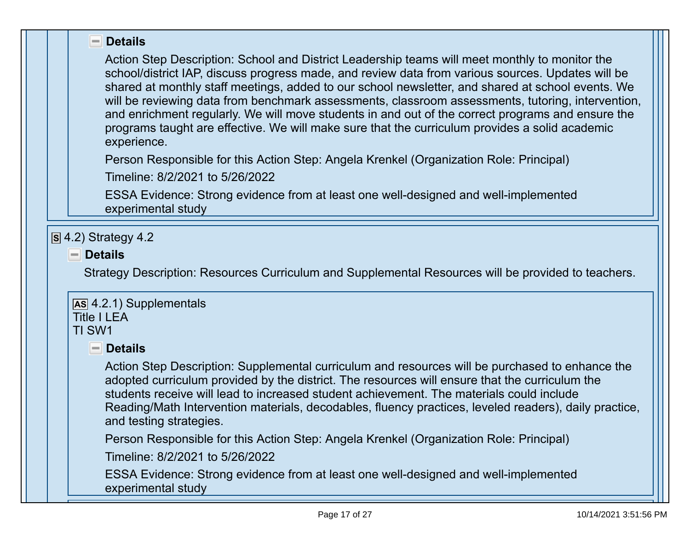#### $\blacksquare$  Details

Action Step Description: School and District Leadership teams will meet monthly to monitor the school/district IAP, discuss progress made, and review data from various sources. Updates will be shared at monthly staff meetings, added to our school newsletter, and shared at school events. We will be reviewing data from benchmark assessments, classroom assessments, tutoring, intervention, and enrichment regularly. We will move students in and out of the correct programs and ensure the programs taught are effective. We will make sure that the curriculum provides a solid academic experience.

Person Responsible for this Action Step: Angela Krenkel (Organization Role: Principal)

Timeline: 8/2/2021 to 5/26/2022

ESSA Evidence: Strong evidence from at least one well-designed and well-implemented experimental study

#### **S** 4.2) Strategy 4.2

### **Details**

Strategy Description: Resources Curriculum and Supplemental Resources will be provided to teachers.

#### **AS** 4.2.1) Supplementals Title I I FA

# TI SW1

### **Details**

Action Step Description: Supplemental curriculum and resources will be purchased to enhance the adopted curriculum provided by the district. The resources will ensure that the curriculum the students receive will lead to increased student achievement. The materials could include Reading/Math Intervention materials, decodables, fluency practices, leveled readers), daily practice, and testing strategies.

Person Responsible for this Action Step: Angela Krenkel (Organization Role: Principal)

Timeline: 8/2/2021 to 5/26/2022

ESSA Evidence: Strong evidence from at least one well-designed and well-implemented experimental study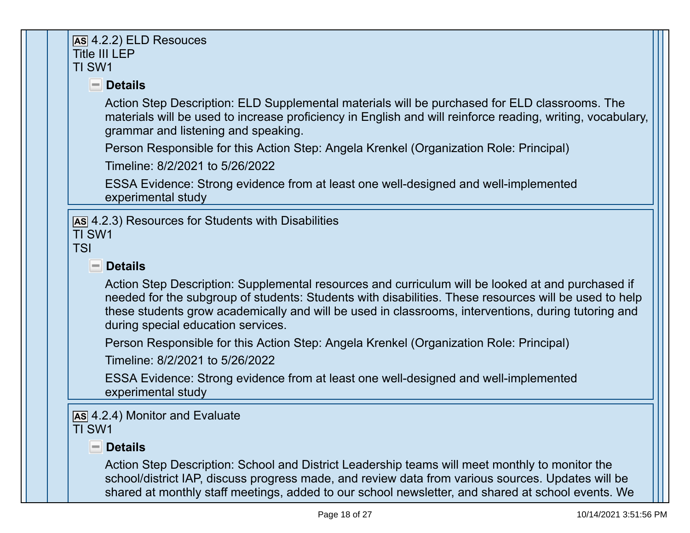| $\overline{AS}$ 4.2.2) ELD Resouces                                                                                                                                                                                                                                                                                                                     |
|---------------------------------------------------------------------------------------------------------------------------------------------------------------------------------------------------------------------------------------------------------------------------------------------------------------------------------------------------------|
| <b>Title III LEP</b><br>TI SW1                                                                                                                                                                                                                                                                                                                          |
| $\blacksquare$ Details                                                                                                                                                                                                                                                                                                                                  |
| Action Step Description: ELD Supplemental materials will be purchased for ELD classrooms. The<br>materials will be used to increase proficiency in English and will reinforce reading, writing, vocabulary,<br>grammar and listening and speaking.                                                                                                      |
| Person Responsible for this Action Step: Angela Krenkel (Organization Role: Principal)                                                                                                                                                                                                                                                                  |
| Timeline: 8/2/2021 to 5/26/2022                                                                                                                                                                                                                                                                                                                         |
| ESSA Evidence: Strong evidence from at least one well-designed and well-implemented<br>experimental study                                                                                                                                                                                                                                               |
| AS 4.2.3) Resources for Students with Disabilities<br>TI SW1<br><b>TSI</b><br><b>Details</b><br>$-1$                                                                                                                                                                                                                                                    |
| Action Step Description: Supplemental resources and curriculum will be looked at and purchased if<br>needed for the subgroup of students: Students with disabilities. These resources will be used to help<br>these students grow academically and will be used in classrooms, interventions, during tutoring and<br>during special education services. |
| Person Responsible for this Action Step: Angela Krenkel (Organization Role: Principal)                                                                                                                                                                                                                                                                  |
| Timeline: 8/2/2021 to 5/26/2022                                                                                                                                                                                                                                                                                                                         |
| ESSA Evidence: Strong evidence from at least one well-designed and well-implemented<br>experimental study                                                                                                                                                                                                                                               |
| AS 4.2.4) Monitor and Evaluate                                                                                                                                                                                                                                                                                                                          |
| <b>TI SW1</b>                                                                                                                                                                                                                                                                                                                                           |
| <b>Details</b><br>$-1$                                                                                                                                                                                                                                                                                                                                  |
| Action Step Description: School and District Leadership teams will meet monthly to monitor the<br>school/district IAP, discuss progress made, and review data from various sources. Updates will be<br>shared at monthly staff meetings, added to our school newsletter, and shared at school events. We                                                |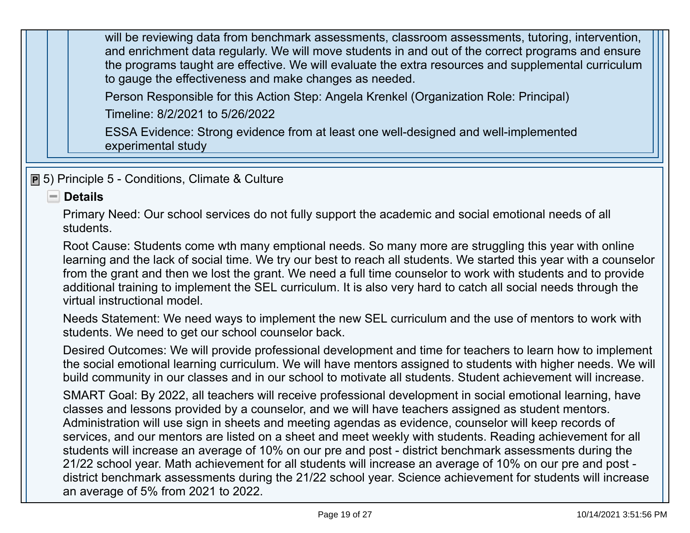will be reviewing data from benchmark assessments, classroom assessments, tutoring, intervention, and enrichment data regularly. We will move students in and out of the correct programs and ensure the programs taught are effective. We will evaluate the extra resources and supplemental curriculum to gauge the effectiveness and make changes as needed.

Person Responsible for this Action Step: Angela Krenkel (Organization Role: Principal)

Timeline: 8/2/2021 to 5/26/2022

ESSA Evidence: Strong evidence from at least one well-designed and well-implemented experimental study

**P** 5) Principle 5 - Conditions, Climate & Culture

#### **Details**

Primary Need: Our school services do not fully support the academic and social emotional needs of all students.

Root Cause: Students come wth many emptional needs. So many more are struggling this year with online learning and the lack of social time. We try our best to reach all students. We started this year with a counselor from the grant and then we lost the grant. We need a full time counselor to work with students and to provide additional training to implement the SEL curriculum. It is also very hard to catch all social needs through the virtual instructional model.

Needs Statement: We need ways to implement the new SEL curriculum and the use of mentors to work with students. We need to get our school counselor back.

Desired Outcomes: We will provide professional development and time for teachers to learn how to implement the social emotional learning curriculum. We will have mentors assigned to students with higher needs. We will build community in our classes and in our school to motivate all students. Student achievement will increase.

SMART Goal: By 2022, all teachers will receive professional development in social emotional learning, have classes and lessons provided by a counselor, and we will have teachers assigned as student mentors. Administration will use sign in sheets and meeting agendas as evidence, counselor will keep records of services, and our mentors are listed on a sheet and meet weekly with students. Reading achievement for all students will increase an average of 10% on our pre and post - district benchmark assessments during the 21/22 school year. Math achievement for all students will increase an average of 10% on our pre and post district benchmark assessments during the 21/22 school year. Science achievement for students will increase an average of 5% from 2021 to 2022.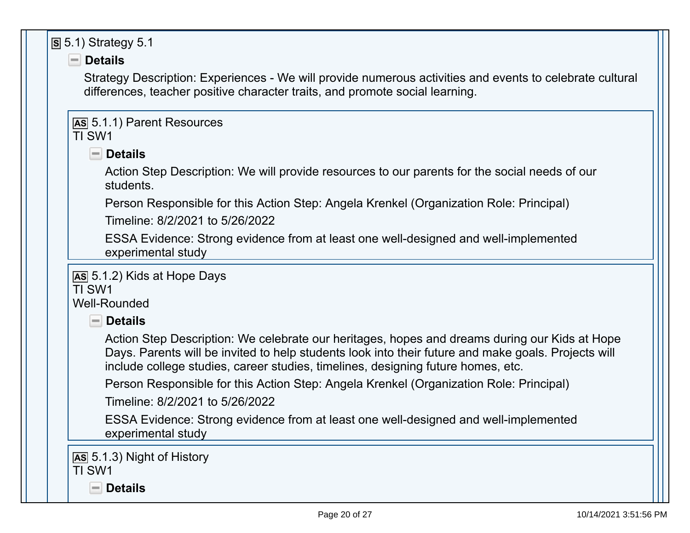| $\overline{S}$ 5.1) Strategy 5.1                                                                                                                                                                                                                                                         |
|------------------------------------------------------------------------------------------------------------------------------------------------------------------------------------------------------------------------------------------------------------------------------------------|
| $\blacksquare$ Details                                                                                                                                                                                                                                                                   |
| Strategy Description: Experiences - We will provide numerous activities and events to celebrate cultural<br>differences, teacher positive character traits, and promote social learning.                                                                                                 |
| <b>AS 5.1.1) Parent Resources</b><br>TI SW1                                                                                                                                                                                                                                              |
| $\blacksquare$ Details                                                                                                                                                                                                                                                                   |
| Action Step Description: We will provide resources to our parents for the social needs of our<br>students.                                                                                                                                                                               |
| Person Responsible for this Action Step: Angela Krenkel (Organization Role: Principal)<br>Timeline: 8/2/2021 to 5/26/2022                                                                                                                                                                |
| ESSA Evidence: Strong evidence from at least one well-designed and well-implemented<br>experimental study                                                                                                                                                                                |
| As 5.1.2) Kids at Hope Days<br>TI SW1<br><b>Well-Rounded</b>                                                                                                                                                                                                                             |
| $\blacksquare$ Details                                                                                                                                                                                                                                                                   |
| Action Step Description: We celebrate our heritages, hopes and dreams during our Kids at Hope<br>Days. Parents will be invited to help students look into their future and make goals. Projects will<br>include college studies, career studies, timelines, designing future homes, etc. |
| Person Responsible for this Action Step: Angela Krenkel (Organization Role: Principal)<br>Timeline: 8/2/2021 to 5/26/2022                                                                                                                                                                |
| ESSA Evidence: Strong evidence from at least one well-designed and well-implemented<br>experimental study                                                                                                                                                                                |
| AS 5.1.3) Night of History<br>TI SW1<br><b>Details</b><br>$\equiv$                                                                                                                                                                                                                       |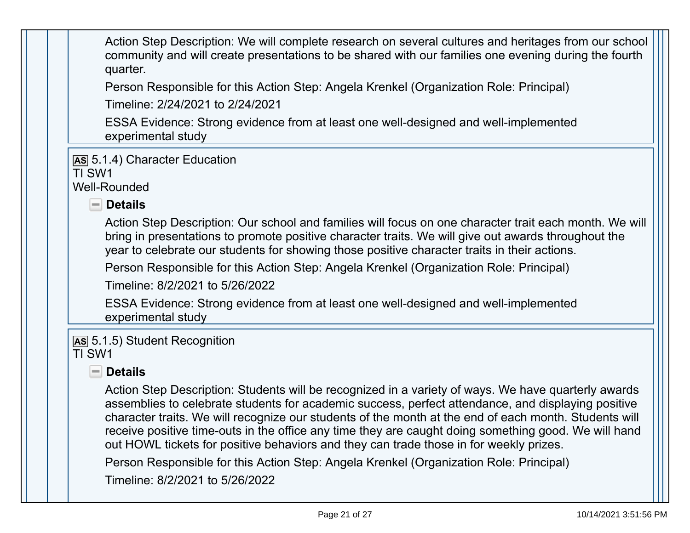Action Step Description: We will complete research on several cultures and heritages from our school community and will create presentations to be shared with our families one evening during the fourth quarter.

Person Responsible for this Action Step: Angela Krenkel (Organization Role: Principal)

Timeline: 2/24/2021 to 2/24/2021

ESSA Evidence: Strong evidence from at least one well-designed and well-implemented experimental study

**AS** 5.1.4) Character Education

TI SW1

Well-Rounded

 **Details** 

Action Step Description: Our school and families will focus on one character trait each month. We will bring in presentations to promote positive character traits. We will give out awards throughout the year to celebrate our students for showing those positive character traits in their actions.

Person Responsible for this Action Step: Angela Krenkel (Organization Role: Principal)

Timeline: 8/2/2021 to 5/26/2022

ESSA Evidence: Strong evidence from at least one well-designed and well-implemented experimental study

**AS** 5.1.5) Student Recognition TI SW1

# **Details**

Action Step Description: Students will be recognized in a variety of ways. We have quarterly awards assemblies to celebrate students for academic success, perfect attendance, and displaying positive character traits. We will recognize our students of the month at the end of each month. Students will receive positive time-outs in the office any time they are caught doing something good. We will hand out HOWL tickets for positive behaviors and they can trade those in for weekly prizes.

Person Responsible for this Action Step: Angela Krenkel (Organization Role: Principal)

Timeline: 8/2/2021 to 5/26/2022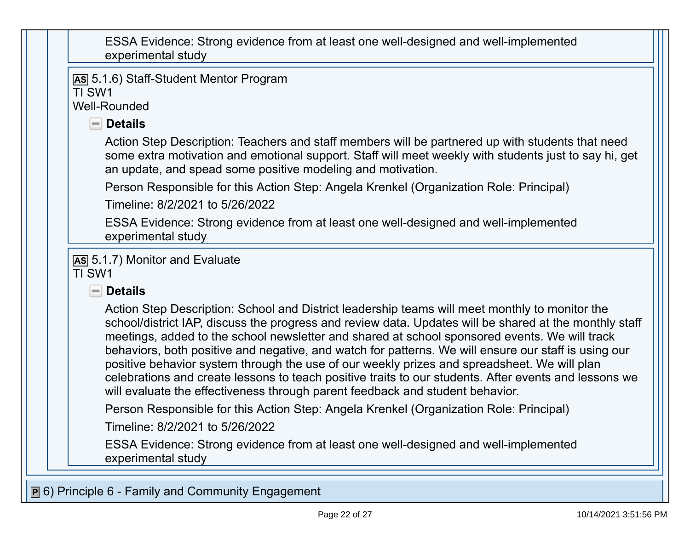| ESSA Evidence: Strong evidence from at least one well-designed and well-implemented |  |
|-------------------------------------------------------------------------------------|--|
| experimental study                                                                  |  |

**AS** 5.1.6) Staff-Student Mentor Program

TI SW1

Well-Rounded

 **Details** 

Action Step Description: Teachers and staff members will be partnered up with students that need some extra motivation and emotional support. Staff will meet weekly with students just to say hi, get an update, and spead some positive modeling and motivation.

Person Responsible for this Action Step: Angela Krenkel (Organization Role: Principal)

Timeline: 8/2/2021 to 5/26/2022

ESSA Evidence: Strong evidence from at least one well-designed and well-implemented experimental study

**AS** 5.1.7) Monitor and Evaluate TI SW1

### **Details**

Action Step Description: School and District leadership teams will meet monthly to monitor the school/district IAP, discuss the progress and review data. Updates will be shared at the monthly staff meetings, added to the school newsletter and shared at school sponsored events. We will track behaviors, both positive and negative, and watch for patterns. We will ensure our staff is using our positive behavior system through the use of our weekly prizes and spreadsheet. We will plan celebrations and create lessons to teach positive traits to our students. After events and lessons we will evaluate the effectiveness through parent feedback and student behavior.

Person Responsible for this Action Step: Angela Krenkel (Organization Role: Principal)

Timeline: 8/2/2021 to 5/26/2022

ESSA Evidence: Strong evidence from at least one well-designed and well-implemented experimental study

**P** 6) Principle 6 - Family and Community Engagement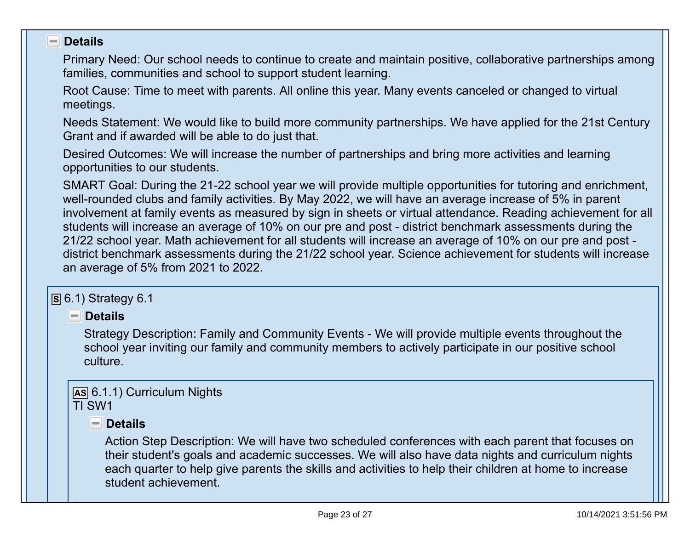#### **Details**  $\overline{\phantom{a}}$

Primary Need: Our school needs to continue to create and maintain positive, collaborative partnerships among families, communities and school to support student learning.

Root Cause: Time to meet with parents. All online this year. Many events canceled or changed to virtual meetings.

Needs Statement: We would like to build more community partnerships. We have applied for the 21st Century Grant and if awarded will be able to do just that.

Desired Outcomes: We will increase the number of partnerships and bring more activities and learning opportunities to our students.

SMART Goal: During the 21-22 school year we will provide multiple opportunities for tutoring and enrichment, well-rounded clubs and family activities. By May 2022, we will have an average increase of 5% in parent involvement at family events as measured by sign in sheets or virtual attendance. Reading achievement for all students will increase an average of 10% on our pre and post - district benchmark assessments during the 21/22 school year. Math achievement for all students will increase an average of 10% on our pre and post district benchmark assessments during the 21/22 school year. Science achievement for students will increase an average of 5% from 2021 to 2022.

#### **S** 6.1) Strategy 6.1

 **Details** 

Strategy Description: Family and Community Events - We will provide multiple events throughout the school year inviting our family and community members to actively participate in our positive school culture.

#### **AS** 6.1.1) Curriculum Nights TI SW1

 **Details** 

Action Step Description: We will have two scheduled conferences with each parent that focuses on their student's goals and academic successes. We will also have data nights and curriculum nights each quarter to help give parents the skills and activities to help their children at home to increase student achievement.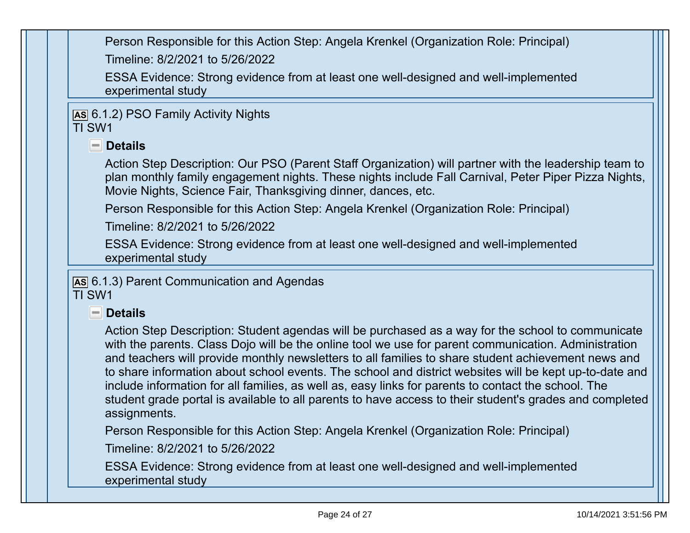Person Responsible for this Action Step: Angela Krenkel (Organization Role: Principal) Timeline: 8/2/2021 to 5/26/2022

ESSA Evidence: Strong evidence from at least one well-designed and well-implemented experimental study

**AS** 6.1.2) PSO Family Activity Nights TI SW1

## **Details**

Action Step Description: Our PSO (Parent Staff Organization) will partner with the leadership team to plan monthly family engagement nights. These nights include Fall Carnival, Peter Piper Pizza Nights, Movie Nights, Science Fair, Thanksgiving dinner, dances, etc.

Person Responsible for this Action Step: Angela Krenkel (Organization Role: Principal)

Timeline: 8/2/2021 to 5/26/2022

ESSA Evidence: Strong evidence from at least one well-designed and well-implemented experimental study

**AS** 6.1.3) Parent Communication and Agendas TI SW1

### **Details**

Action Step Description: Student agendas will be purchased as a way for the school to communicate with the parents. Class Dojo will be the online tool we use for parent communication. Administration and teachers will provide monthly newsletters to all families to share student achievement news and to share information about school events. The school and district websites will be kept up-to-date and include information for all families, as well as, easy links for parents to contact the school. The student grade portal is available to all parents to have access to their student's grades and completed assignments.

Person Responsible for this Action Step: Angela Krenkel (Organization Role: Principal)

Timeline: 8/2/2021 to 5/26/2022

ESSA Evidence: Strong evidence from at least one well-designed and well-implemented experimental study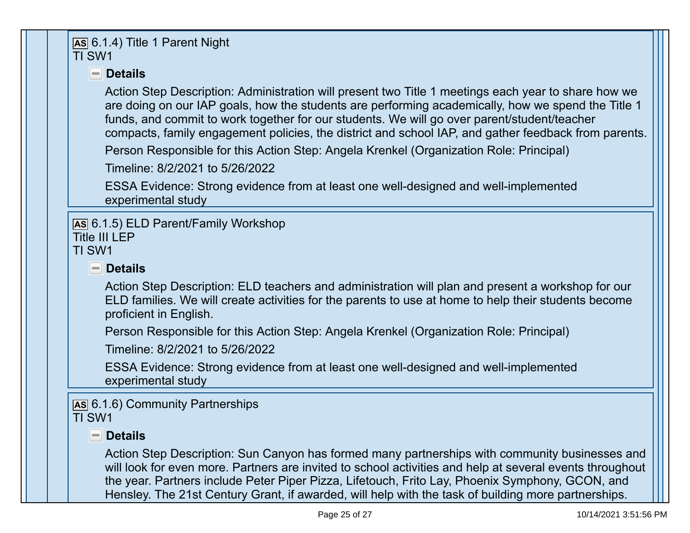# **AS** 6.1.4) Title 1 Parent Night TI SW1

# **Details**

Action Step Description: Administration will present two Title 1 meetings each year to share how we are doing on our IAP goals, how the students are performing academically, how we spend the Title 1 funds, and commit to work together for our students. We will go over parent/student/teacher compacts, family engagement policies, the district and school IAP, and gather feedback from parents.

Person Responsible for this Action Step: Angela Krenkel (Organization Role: Principal)

Timeline: 8/2/2021 to 5/26/2022

ESSA Evidence: Strong evidence from at least one well-designed and well-implemented experimental study

### **AS** 6.1.5) ELD Parent/Family Workshop

#### Title III LEP

TI SW1

# **Details**

Action Step Description: ELD teachers and administration will plan and present a workshop for our ELD families. We will create activities for the parents to use at home to help their students become proficient in English.

Person Responsible for this Action Step: Angela Krenkel (Organization Role: Principal)

Timeline: 8/2/2021 to 5/26/2022

ESSA Evidence: Strong evidence from at least one well-designed and well-implemented experimental study

**AS** 6.1.6) Community Partnerships TI SW1

# **Details**

Action Step Description: Sun Canyon has formed many partnerships with community businesses and will look for even more. Partners are invited to school activities and help at several events throughout the year. Partners include Peter Piper Pizza, Lifetouch, Frito Lay, Phoenix Symphony, GCON, and Hensley. The 21st Century Grant, if awarded, will help with the task of building more partnerships.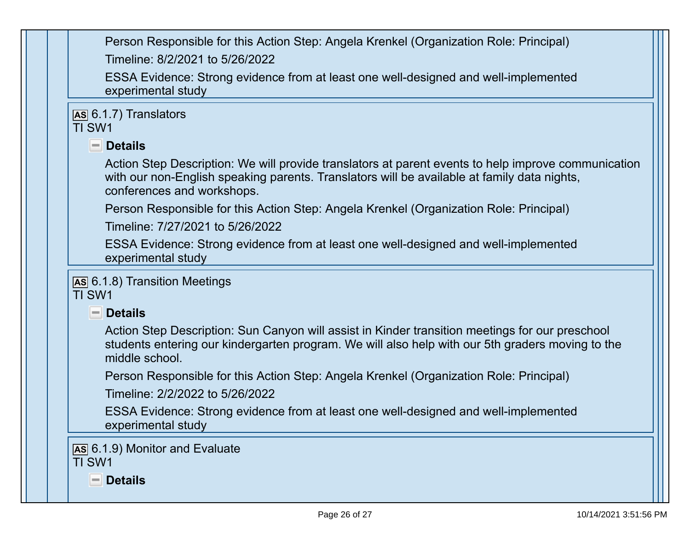| Person Responsible for this Action Step: Angela Krenkel (Organization Role: Principal) |
|----------------------------------------------------------------------------------------|
| Timeline: 8/2/2021 to 5/26/2022                                                        |

ESSA Evidence: Strong evidence from at least one well-designed and well-implemented experimental study

**AS** 6.1.7) Translators

# TI SW1

**Details** 

Action Step Description: We will provide translators at parent events to help improve communication with our non-English speaking parents. Translators will be available at family data nights, conferences and workshops.

Person Responsible for this Action Step: Angela Krenkel (Organization Role: Principal)

Timeline: 7/27/2021 to 5/26/2022

ESSA Evidence: Strong evidence from at least one well-designed and well-implemented experimental study

**AS** 6.1.8) Transition Meetings TI SW1

 **Details** 

Action Step Description: Sun Canyon will assist in Kinder transition meetings for our preschool students entering our kindergarten program. We will also help with our 5th graders moving to the middle school.

Person Responsible for this Action Step: Angela Krenkel (Organization Role: Principal)

Timeline: 2/2/2022 to 5/26/2022

ESSA Evidence: Strong evidence from at least one well-designed and well-implemented experimental study

**AS** 6.1.9) Monitor and Evaluate TI SW1

 **Details**